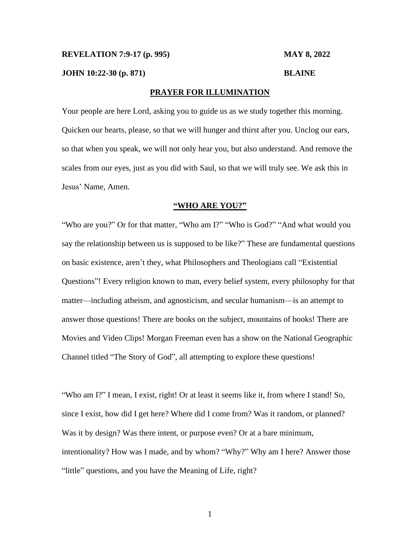## **REVELATION 7:9-17 (p. 995) MAY 8, 2022**

**JOHN 10:22-30 (p. 871) BLAINE**

# **PRAYER FOR ILLUMINATION**

Your people are here Lord, asking you to guide us as we study together this morning. Quicken our hearts, please, so that we will hunger and thirst after you. Unclog our ears, so that when you speak, we will not only hear you, but also understand. And remove the scales from our eyes, just as you did with Saul, so that we will truly see. We ask this in Jesus' Name, Amen.

## **"WHO ARE YOU?"**

"Who are you?" Or for that matter, "Who am I?" "Who is God?" "And what would you say the relationship between us is supposed to be like?" These are fundamental questions on basic existence, aren't they, what Philosophers and Theologians call "Existential Questions"! Every religion known to man, every belief system, every philosophy for that matter—including atheism, and agnosticism, and secular humanism—is an attempt to answer those questions! There are books on the subject, mountains of books! There are Movies and Video Clips! Morgan Freeman even has a show on the National Geographic Channel titled "The Story of God", all attempting to explore these questions!

"Who am I?" I mean, I exist, right! Or at least it seems like it, from where I stand! So, since I exist, how did I get here? Where did I come from? Was it random, or planned? Was it by design? Was there intent, or purpose even? Or at a bare minimum, intentionality? How was I made, and by whom? "Why?" Why am I here? Answer those "little" questions, and you have the Meaning of Life, right?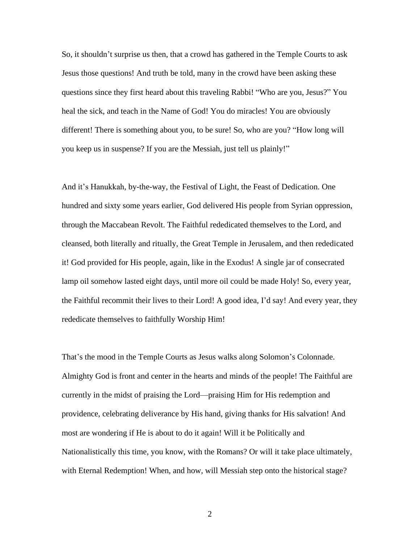So, it shouldn't surprise us then, that a crowd has gathered in the Temple Courts to ask Jesus those questions! And truth be told, many in the crowd have been asking these questions since they first heard about this traveling Rabbi! "Who are you, Jesus?" You heal the sick, and teach in the Name of God! You do miracles! You are obviously different! There is something about you, to be sure! So, who are you? "How long will you keep us in suspense? If you are the Messiah, just tell us plainly!"

And it's Hanukkah, by-the-way, the Festival of Light, the Feast of Dedication. One hundred and sixty some years earlier, God delivered His people from Syrian oppression, through the Maccabean Revolt. The Faithful rededicated themselves to the Lord, and cleansed, both literally and ritually, the Great Temple in Jerusalem, and then rededicated it! God provided for His people, again, like in the Exodus! A single jar of consecrated lamp oil somehow lasted eight days, until more oil could be made Holy! So, every year, the Faithful recommit their lives to their Lord! A good idea, I'd say! And every year, they rededicate themselves to faithfully Worship Him!

That's the mood in the Temple Courts as Jesus walks along Solomon's Colonnade. Almighty God is front and center in the hearts and minds of the people! The Faithful are currently in the midst of praising the Lord—praising Him for His redemption and providence, celebrating deliverance by His hand, giving thanks for His salvation! And most are wondering if He is about to do it again! Will it be Politically and Nationalistically this time, you know, with the Romans? Or will it take place ultimately, with Eternal Redemption! When, and how, will Messiah step onto the historical stage?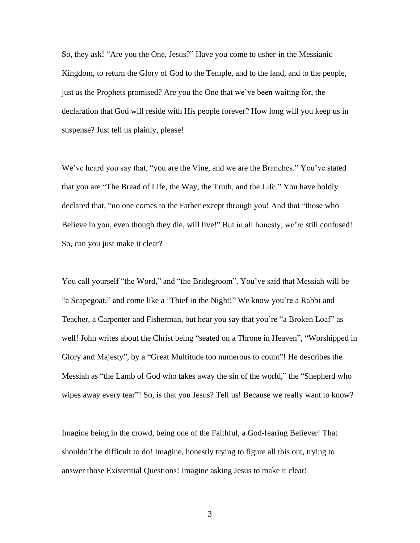So, they ask! "Are you the One, Jesus?" Have you come to usher-in the Messianic Kingdom, to return the Glory of God to the Temple, and to the land, and to the people, just as the Prophets promised? Are you the One that we've been waiting for, the declaration that God will reside with His people forever? How long will you keep us in suspense? Just tell us plainly, please!

We've heard you say that, "you are the Vine, and we are the Branches." You've stated that you are "The Bread of Life, the Way, the Truth, and the Life." You have boldly declared that, "no one comes to the Father except through you! And that "those who Believe in you, even though they die, will live!" But in all honesty, we're still confused! So, can you just make it clear?

You call yourself "the Word," and "the Bridegroom". You've said that Messiah will be "a Scapegoat," and come like a "Thief in the Night!" We know you're a Rabbi and Teacher, a Carpenter and Fisherman, but hear you say that you're "a Broken Loaf" as well! John writes about the Christ being "seated on a Throne in Heaven", "Worshipped in Glory and Majesty", by a "Great Multitude too numerous to count"! He describes the Messiah as "the Lamb of God who takes away the sin of the world," the "Shepherd who wipes away every tear"! So, is that you Jesus? Tell us! Because we really want to know?

Imagine being in the crowd, being one of the Faithful, a God-fearing Believer! That shouldn't be difficult to do! Imagine, honestly trying to figure all this out, trying to answer those Existential Questions! Imagine asking Jesus to make it clear!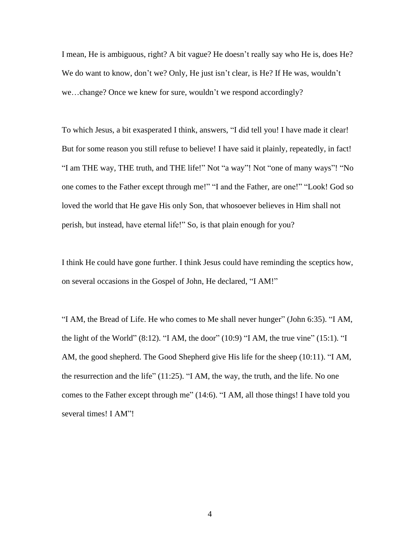I mean, He is ambiguous, right? A bit vague? He doesn't really say who He is, does He? We do want to know, don't we? Only, He just isn't clear, is He? If He was, wouldn't we…change? Once we knew for sure, wouldn't we respond accordingly?

To which Jesus, a bit exasperated I think, answers, "I did tell you! I have made it clear! But for some reason you still refuse to believe! I have said it plainly, repeatedly, in fact! "I am THE way, THE truth, and THE life!" Not "a way"! Not "one of many ways"! "No one comes to the Father except through me!" "I and the Father, are one!" "Look! God so loved the world that He gave His only Son, that whosoever believes in Him shall not perish, but instead, have eternal life!" So, is that plain enough for you?

I think He could have gone further. I think Jesus could have reminding the sceptics how, on several occasions in the Gospel of John, He declared, "I AM!"

"I AM, the Bread of Life. He who comes to Me shall never hunger" (John 6:35). "I AM, the light of the World"  $(8:12)$ . "I AM, the door"  $(10:9)$  "I AM, the true vine"  $(15:1)$ . "I AM, the good shepherd. The Good Shepherd give His life for the sheep (10:11). "I AM, the resurrection and the life" (11:25). "I AM, the way, the truth, and the life. No one comes to the Father except through me" (14:6). "I AM, all those things! I have told you several times! I AM"!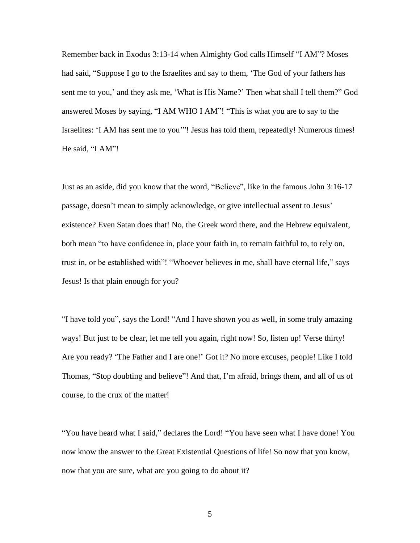Remember back in Exodus 3:13-14 when Almighty God calls Himself "I AM"? Moses had said, "Suppose I go to the Israelites and say to them, 'The God of your fathers has sent me to you,' and they ask me, 'What is His Name?' Then what shall I tell them?" God answered Moses by saying, "I AM WHO I AM"! "This is what you are to say to the Israelites: 'I AM has sent me to you'"! Jesus has told them, repeatedly! Numerous times! He said, "I AM"!

Just as an aside, did you know that the word, "Believe", like in the famous John 3:16-17 passage, doesn't mean to simply acknowledge, or give intellectual assent to Jesus' existence? Even Satan does that! No, the Greek word there, and the Hebrew equivalent, both mean "to have confidence in, place your faith in, to remain faithful to, to rely on, trust in, or be established with"! "Whoever believes in me, shall have eternal life," says Jesus! Is that plain enough for you?

"I have told you", says the Lord! "And I have shown you as well, in some truly amazing ways! But just to be clear, let me tell you again, right now! So, listen up! Verse thirty! Are you ready? 'The Father and I are one!' Got it? No more excuses, people! Like I told Thomas, "Stop doubting and believe"! And that, I'm afraid, brings them, and all of us of course, to the crux of the matter!

"You have heard what I said," declares the Lord! "You have seen what I have done! You now know the answer to the Great Existential Questions of life! So now that you know, now that you are sure, what are you going to do about it?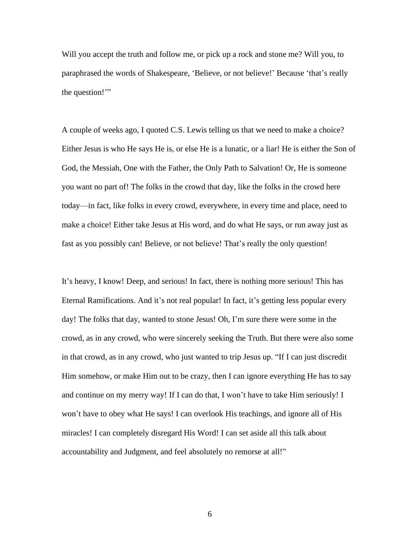Will you accept the truth and follow me, or pick up a rock and stone me? Will you, to paraphrased the words of Shakespeare, 'Believe, or not believe!' Because 'that's really the question!'"

A couple of weeks ago, I quoted C.S. Lewis telling us that we need to make a choice? Either Jesus is who He says He is, or else He is a lunatic, or a liar! He is either the Son of God, the Messiah, One with the Father, the Only Path to Salvation! Or, He is someone you want no part of! The folks in the crowd that day, like the folks in the crowd here today—in fact, like folks in every crowd, everywhere, in every time and place, need to make a choice! Either take Jesus at His word, and do what He says, or run away just as fast as you possibly can! Believe, or not believe! That's really the only question!

It's heavy, I know! Deep, and serious! In fact, there is nothing more serious! This has Eternal Ramifications. And it's not real popular! In fact, it's getting less popular every day! The folks that day, wanted to stone Jesus! Oh, I'm sure there were some in the crowd, as in any crowd, who were sincerely seeking the Truth. But there were also some in that crowd, as in any crowd, who just wanted to trip Jesus up. "If I can just discredit Him somehow, or make Him out to be crazy, then I can ignore everything He has to say and continue on my merry way! If I can do that, I won't have to take Him seriously! I won't have to obey what He says! I can overlook His teachings, and ignore all of His miracles! I can completely disregard His Word! I can set aside all this talk about accountability and Judgment, and feel absolutely no remorse at all!"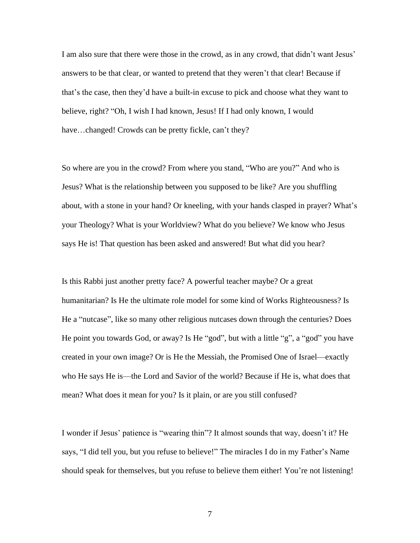I am also sure that there were those in the crowd, as in any crowd, that didn't want Jesus' answers to be that clear, or wanted to pretend that they weren't that clear! Because if that's the case, then they'd have a built-in excuse to pick and choose what they want to believe, right? "Oh, I wish I had known, Jesus! If I had only known, I would have...changed! Crowds can be pretty fickle, can't they?

So where are you in the crowd? From where you stand, "Who are you?" And who is Jesus? What is the relationship between you supposed to be like? Are you shuffling about, with a stone in your hand? Or kneeling, with your hands clasped in prayer? What's your Theology? What is your Worldview? What do you believe? We know who Jesus says He is! That question has been asked and answered! But what did you hear?

Is this Rabbi just another pretty face? A powerful teacher maybe? Or a great humanitarian? Is He the ultimate role model for some kind of Works Righteousness? Is He a "nutcase", like so many other religious nutcases down through the centuries? Does He point you towards God, or away? Is He "god", but with a little "g", a "god" you have created in your own image? Or is He the Messiah, the Promised One of Israel—exactly who He says He is—the Lord and Savior of the world? Because if He is, what does that mean? What does it mean for you? Is it plain, or are you still confused?

I wonder if Jesus' patience is "wearing thin"? It almost sounds that way, doesn't it? He says, "I did tell you, but you refuse to believe!" The miracles I do in my Father's Name should speak for themselves, but you refuse to believe them either! You're not listening!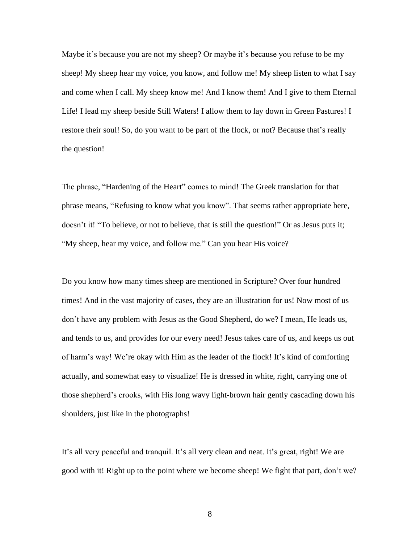Maybe it's because you are not my sheep? Or maybe it's because you refuse to be my sheep! My sheep hear my voice, you know, and follow me! My sheep listen to what I say and come when I call. My sheep know me! And I know them! And I give to them Eternal Life! I lead my sheep beside Still Waters! I allow them to lay down in Green Pastures! I restore their soul! So, do you want to be part of the flock, or not? Because that's really the question!

The phrase, "Hardening of the Heart" comes to mind! The Greek translation for that phrase means, "Refusing to know what you know". That seems rather appropriate here, doesn't it! "To believe, or not to believe, that is still the question!" Or as Jesus puts it; "My sheep, hear my voice, and follow me." Can you hear His voice?

Do you know how many times sheep are mentioned in Scripture? Over four hundred times! And in the vast majority of cases, they are an illustration for us! Now most of us don't have any problem with Jesus as the Good Shepherd, do we? I mean, He leads us, and tends to us, and provides for our every need! Jesus takes care of us, and keeps us out of harm's way! We're okay with Him as the leader of the flock! It's kind of comforting actually, and somewhat easy to visualize! He is dressed in white, right, carrying one of those shepherd's crooks, with His long wavy light-brown hair gently cascading down his shoulders, just like in the photographs!

It's all very peaceful and tranquil. It's all very clean and neat. It's great, right! We are good with it! Right up to the point where we become sheep! We fight that part, don't we?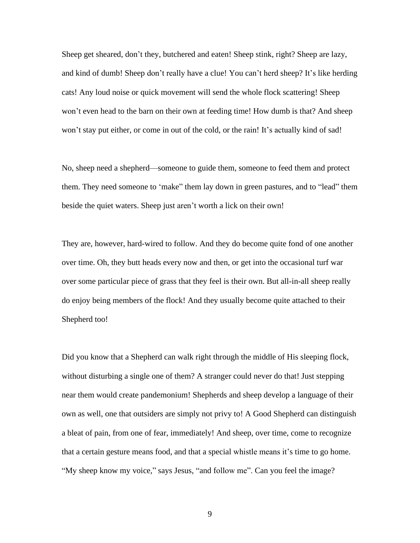Sheep get sheared, don't they, butchered and eaten! Sheep stink, right? Sheep are lazy, and kind of dumb! Sheep don't really have a clue! You can't herd sheep? It's like herding cats! Any loud noise or quick movement will send the whole flock scattering! Sheep won't even head to the barn on their own at feeding time! How dumb is that? And sheep won't stay put either, or come in out of the cold, or the rain! It's actually kind of sad!

No, sheep need a shepherd—someone to guide them, someone to feed them and protect them. They need someone to 'make" them lay down in green pastures, and to "lead" them beside the quiet waters. Sheep just aren't worth a lick on their own!

They are, however, hard-wired to follow. And they do become quite fond of one another over time. Oh, they butt heads every now and then, or get into the occasional turf war over some particular piece of grass that they feel is their own. But all-in-all sheep really do enjoy being members of the flock! And they usually become quite attached to their Shepherd too!

Did you know that a Shepherd can walk right through the middle of His sleeping flock, without disturbing a single one of them? A stranger could never do that! Just stepping near them would create pandemonium! Shepherds and sheep develop a language of their own as well, one that outsiders are simply not privy to! A Good Shepherd can distinguish a bleat of pain, from one of fear, immediately! And sheep, over time, come to recognize that a certain gesture means food, and that a special whistle means it's time to go home. "My sheep know my voice," says Jesus, "and follow me". Can you feel the image?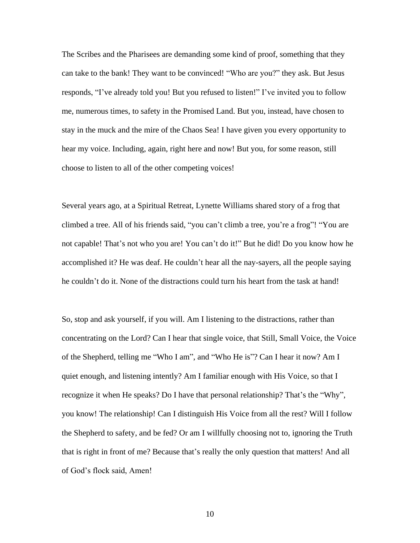The Scribes and the Pharisees are demanding some kind of proof, something that they can take to the bank! They want to be convinced! "Who are you?" they ask. But Jesus responds, "I've already told you! But you refused to listen!" I've invited you to follow me, numerous times, to safety in the Promised Land. But you, instead, have chosen to stay in the muck and the mire of the Chaos Sea! I have given you every opportunity to hear my voice. Including, again, right here and now! But you, for some reason, still choose to listen to all of the other competing voices!

Several years ago, at a Spiritual Retreat, Lynette Williams shared story of a frog that climbed a tree. All of his friends said, "you can't climb a tree, you're a frog"! "You are not capable! That's not who you are! You can't do it!" But he did! Do you know how he accomplished it? He was deaf. He couldn't hear all the nay-sayers, all the people saying he couldn't do it. None of the distractions could turn his heart from the task at hand!

So, stop and ask yourself, if you will. Am I listening to the distractions, rather than concentrating on the Lord? Can I hear that single voice, that Still, Small Voice, the Voice of the Shepherd, telling me "Who I am", and "Who He is"? Can I hear it now? Am I quiet enough, and listening intently? Am I familiar enough with His Voice, so that I recognize it when He speaks? Do I have that personal relationship? That's the "Why", you know! The relationship! Can I distinguish His Voice from all the rest? Will I follow the Shepherd to safety, and be fed? Or am I willfully choosing not to, ignoring the Truth that is right in front of me? Because that's really the only question that matters! And all of God's flock said, Amen!